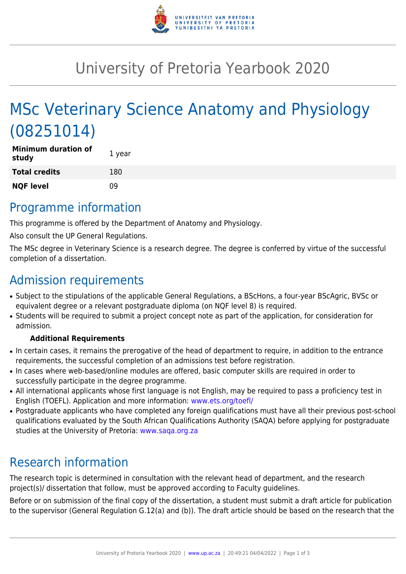

## University of Pretoria Yearbook 2020

# MSc Veterinary Science Anatomy and Physiology (08251014)

| <b>Minimum duration of</b><br>study | 1 year |
|-------------------------------------|--------|
| <b>Total credits</b>                | 180    |
| <b>NQF level</b>                    | n۹     |

#### Programme information

This programme is offered by the Department of Anatomy and Physiology.

Also consult the UP General Regulations.

The MSc degree in Veterinary Science is a research degree. The degree is conferred by virtue of the successful completion of a dissertation.

### Admission requirements

- Subject to the stipulations of the applicable General Regulations, a BScHons, a four-year BScAgric, BVSc or equivalent degree or a relevant postgraduate diploma (on NQF level 8) is required.
- Students will be required to submit a project concept note as part of the application, for consideration for admission.

#### **Additional Requirements**

- In certain cases, it remains the prerogative of the head of department to require, in addition to the entrance requirements, the successful completion of an admissions test before registration.
- In cases where web-based/online modules are offered, basic computer skills are required in order to successfully participate in the degree programme.
- All international applicants whose first language is not English, may be required to pass a proficiency test in English (TOEFL). Application and more information: [www.ets.org/toefl/](http://www.ets.org/toefl/)
- Postgraduate applicants who have completed any foreign qualifications must have all their previous post-school qualifications evaluated by the South African Qualifications Authority (SAQA) before applying for postgraduate studies at the University of Pretoria: [www.saqa.org.za](http://www.saqa.org.za)

### Research information

The research topic is determined in consultation with the relevant head of department, and the research project(s)/ dissertation that follow, must be approved according to Faculty guidelines.

Before or on submission of the final copy of the dissertation, a student must submit a draft article for publication to the supervisor (General Regulation G.12(a) and (b)). The draft article should be based on the research that the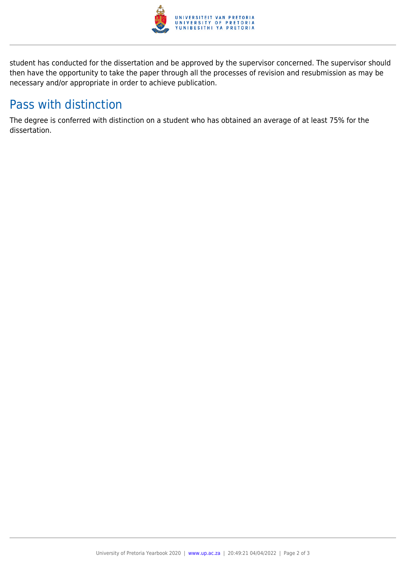

student has conducted for the dissertation and be approved by the supervisor concerned. The supervisor should then have the opportunity to take the paper through all the processes of revision and resubmission as may be necessary and/or appropriate in order to achieve publication.

## Pass with distinction

The degree is conferred with distinction on a student who has obtained an average of at least 75% for the dissertation.